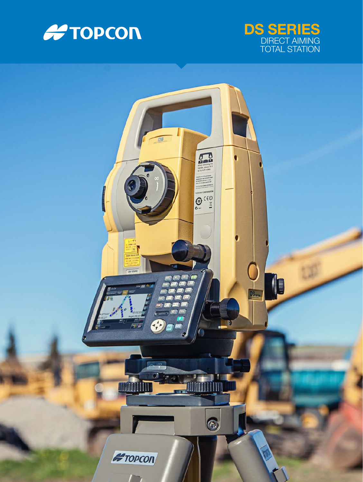



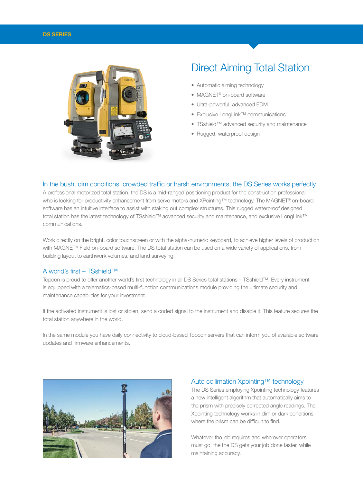#### DS SERIES



# Direct Aiming Total Station

- Automatic aiming technology
- MAGNET<sup>®</sup> on-board software
- Ultra-powerful, advanced EDM
- Exclusive LongLink™ communications
- TSshield™ advanced security and maintenance
- Rugged, waterproof design

#### In the bush, dim conditions, crowded traffic or harsh environments, the DS Series works perfectly

A professional motorized total station, the DS is a mid-ranged positioning product for the construction professional who is looking for productivity enhancement from servo motors and XPointing™ technology. The MAGNET® on-board software has an intuitive interface to assist with staking out complex structures. This rugged waterproof designed total station has the latest technology of TSshield™ advanced security and maintenance, and exclusive LongLink™ communications.

Work directly on the bright, color touchscreen or with the alpha-numeric keyboard, to achieve higher levels of production with MAGNET® Field on-board software. The DS total station can be used on a wide variety of applications, from building layout to earthwork volumes, and land surveying.

#### A world's first – TSshield™

Topcon is proud to offer another world's first technology in all DS Series total stations – TSshield™. Every instrument is equipped with a telematics-based multi-function communications module providing the ultimate security and maintenance capabilities for your investment.

If the activated instrument is lost or stolen, send a coded signal to the instrument and disable it. This feature secures the total station anywhere in the world.

In the same module you have daily connectivity to cloud-based Topcon servers that can inform you of available software updates and firmware enhancements.



## Auto collimation Xpointing™ technology

The DS Series employing Xpointing technology features a new intelligent algorithm that automatically aims to the prism with precisely corrected angle readings. The Xpointing technology works in dim or dark conditions where the prism can be difficult to find.

Whatever the job requires and wherever operators must go, the the DS gets your job done faster, while maintaining accuracy.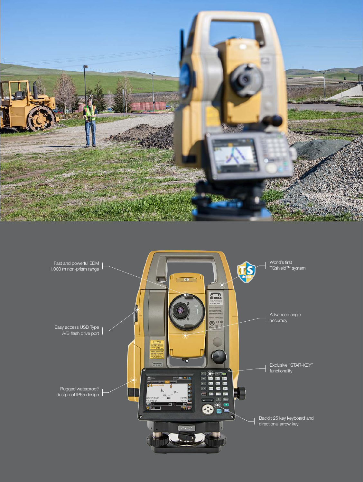